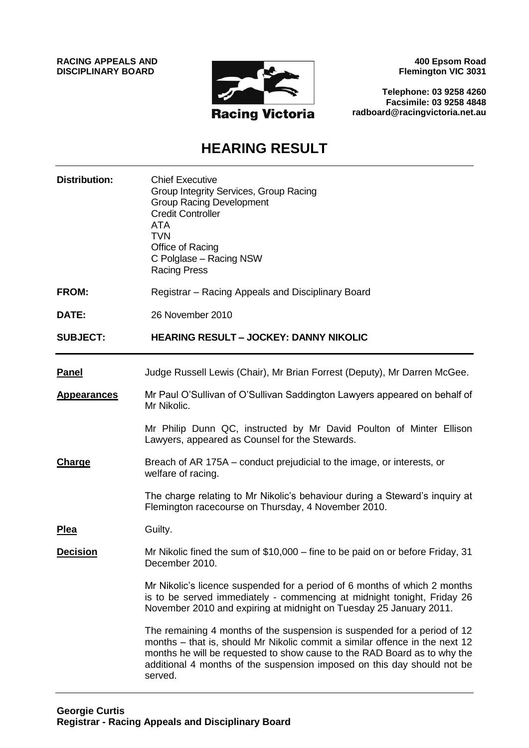**RACING APPEALS AND DISCIPLINARY BOARD**



**400 Epsom Road Flemington VIC 3031**

**Telephone: 03 9258 4260 Facsimile: 03 9258 4848 radboard@racingvictoria.net.au**

# **HEARING RESULT**

| <b>Distribution:</b> | <b>Chief Executive</b><br>Group Integrity Services, Group Racing<br><b>Group Racing Development</b><br><b>Credit Controller</b><br><b>ATA</b><br><b>TVN</b><br>Office of Racing<br>C Polglase - Racing NSW<br><b>Racing Press</b>                                                                                         |
|----------------------|---------------------------------------------------------------------------------------------------------------------------------------------------------------------------------------------------------------------------------------------------------------------------------------------------------------------------|
| <b>FROM:</b>         | Registrar – Racing Appeals and Disciplinary Board                                                                                                                                                                                                                                                                         |
| DATE:                | 26 November 2010                                                                                                                                                                                                                                                                                                          |
| <b>SUBJECT:</b>      | <b>HEARING RESULT - JOCKEY: DANNY NIKOLIC</b>                                                                                                                                                                                                                                                                             |
| <b>Panel</b>         | Judge Russell Lewis (Chair), Mr Brian Forrest (Deputy), Mr Darren McGee.                                                                                                                                                                                                                                                  |
| <b>Appearances</b>   | Mr Paul O'Sullivan of O'Sullivan Saddington Lawyers appeared on behalf of<br>Mr Nikolic.                                                                                                                                                                                                                                  |
|                      | Mr Philip Dunn QC, instructed by Mr David Poulton of Minter Ellison<br>Lawyers, appeared as Counsel for the Stewards.                                                                                                                                                                                                     |
| <b>Charge</b>        | Breach of AR 175A – conduct prejudicial to the image, or interests, or<br>welfare of racing.                                                                                                                                                                                                                              |
|                      | The charge relating to Mr Nikolic's behaviour during a Steward's inquiry at<br>Flemington racecourse on Thursday, 4 November 2010.                                                                                                                                                                                        |
| <b>Plea</b>          | Guilty.                                                                                                                                                                                                                                                                                                                   |
| <b>Decision</b>      | Mr Nikolic fined the sum of $$10,000 -$ fine to be paid on or before Friday, 31<br>December 2010.                                                                                                                                                                                                                         |
|                      | Mr Nikolic's licence suspended for a period of 6 months of which 2 months<br>is to be served immediately - commencing at midnight tonight, Friday 26<br>November 2010 and expiring at midnight on Tuesday 25 January 2011.                                                                                                |
|                      | The remaining 4 months of the suspension is suspended for a period of 12<br>months – that is, should Mr Nikolic commit a similar offence in the next 12<br>months he will be requested to show cause to the RAD Board as to why the<br>additional 4 months of the suspension imposed on this day should not be<br>served. |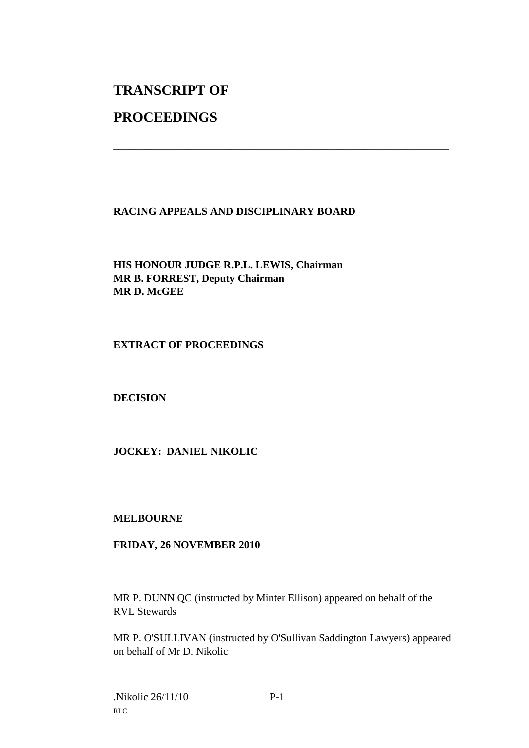# **TRANSCRIPT OF**

## **PROCEEDINGS**

### **RACING APPEALS AND DISCIPLINARY BOARD**

\_\_\_\_\_\_\_\_\_\_\_\_\_\_\_\_\_\_\_\_\_\_\_\_\_\_\_\_\_\_\_\_\_\_\_\_\_\_\_\_\_\_\_\_\_\_\_\_\_\_\_\_\_\_\_\_\_\_\_\_\_\_\_

**HIS HONOUR JUDGE R.P.L. LEWIS, Chairman MR B. FORREST, Deputy Chairman MR D. McGEE**

#### **EXTRACT OF PROCEEDINGS**

#### **DECISION**

#### **JOCKEY: DANIEL NIKOLIC**

#### **MELBOURNE**

#### **FRIDAY, 26 NOVEMBER 2010**

MR P. DUNN QC (instructed by Minter Ellison) appeared on behalf of the RVL Stewards

MR P. O'SULLIVAN (instructed by O'Sullivan Saddington Lawyers) appeared on behalf of Mr D. Nikolic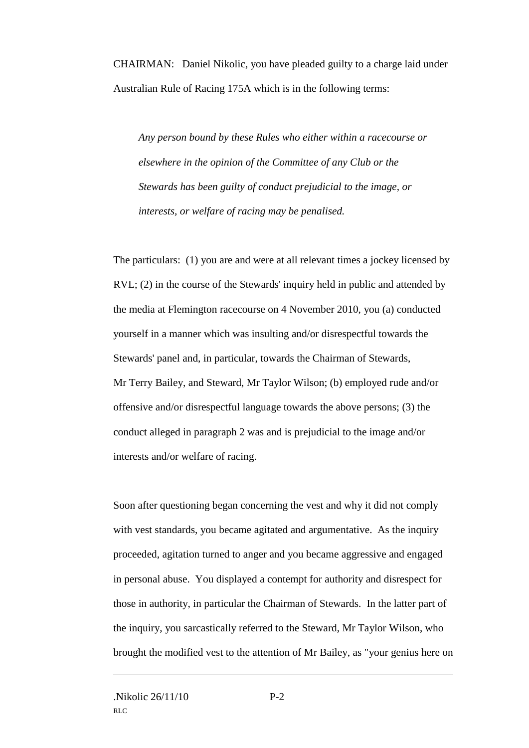CHAIRMAN: Daniel Nikolic, you have pleaded guilty to a charge laid under Australian Rule of Racing 175A which is in the following terms:

*Any person bound by these Rules who either within a racecourse or elsewhere in the opinion of the Committee of any Club or the Stewards has been guilty of conduct prejudicial to the image, or interests, or welfare of racing may be penalised.*

The particulars: (1) you are and were at all relevant times a jockey licensed by RVL; (2) in the course of the Stewards' inquiry held in public and attended by the media at Flemington racecourse on 4 November 2010, you (a) conducted yourself in a manner which was insulting and/or disrespectful towards the Stewards' panel and, in particular, towards the Chairman of Stewards, Mr Terry Bailey, and Steward, Mr Taylor Wilson; (b) employed rude and/or offensive and/or disrespectful language towards the above persons; (3) the conduct alleged in paragraph 2 was and is prejudicial to the image and/or interests and/or welfare of racing.

Soon after questioning began concerning the vest and why it did not comply with vest standards, you became agitated and argumentative. As the inquiry proceeded, agitation turned to anger and you became aggressive and engaged in personal abuse. You displayed a contempt for authority and disrespect for those in authority, in particular the Chairman of Stewards. In the latter part of the inquiry, you sarcastically referred to the Steward, Mr Taylor Wilson, who brought the modified vest to the attention of Mr Bailey, as "your genius here on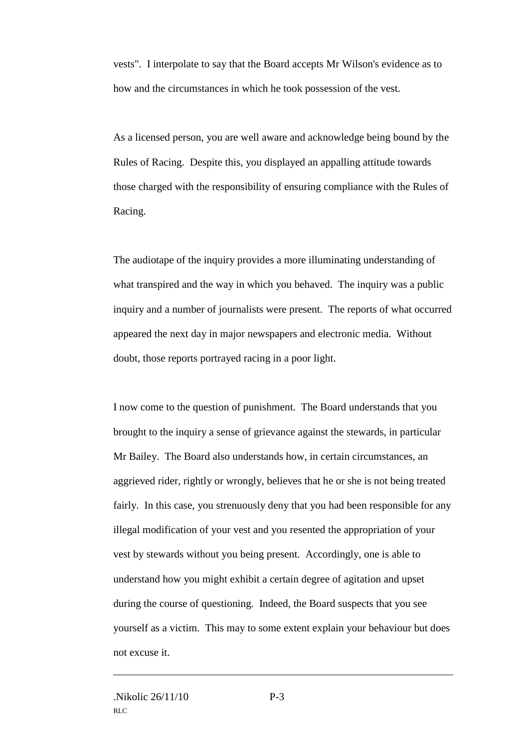vests". I interpolate to say that the Board accepts Mr Wilson's evidence as to how and the circumstances in which he took possession of the vest.

As a licensed person, you are well aware and acknowledge being bound by the Rules of Racing. Despite this, you displayed an appalling attitude towards those charged with the responsibility of ensuring compliance with the Rules of Racing.

The audiotape of the inquiry provides a more illuminating understanding of what transpired and the way in which you behaved. The inquiry was a public inquiry and a number of journalists were present. The reports of what occurred appeared the next day in major newspapers and electronic media. Without doubt, those reports portrayed racing in a poor light.

I now come to the question of punishment. The Board understands that you brought to the inquiry a sense of grievance against the stewards, in particular Mr Bailey. The Board also understands how, in certain circumstances, an aggrieved rider, rightly or wrongly, believes that he or she is not being treated fairly. In this case, you strenuously deny that you had been responsible for any illegal modification of your vest and you resented the appropriation of your vest by stewards without you being present. Accordingly, one is able to understand how you might exhibit a certain degree of agitation and upset during the course of questioning. Indeed, the Board suspects that you see yourself as a victim. This may to some extent explain your behaviour but does not excuse it.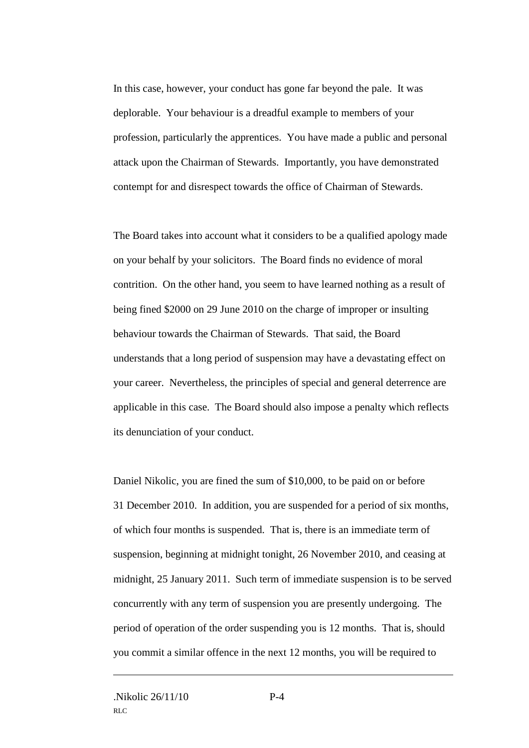In this case, however, your conduct has gone far beyond the pale. It was deplorable. Your behaviour is a dreadful example to members of your profession, particularly the apprentices. You have made a public and personal attack upon the Chairman of Stewards. Importantly, you have demonstrated contempt for and disrespect towards the office of Chairman of Stewards.

The Board takes into account what it considers to be a qualified apology made on your behalf by your solicitors. The Board finds no evidence of moral contrition. On the other hand, you seem to have learned nothing as a result of being fined \$2000 on 29 June 2010 on the charge of improper or insulting behaviour towards the Chairman of Stewards. That said, the Board understands that a long period of suspension may have a devastating effect on your career. Nevertheless, the principles of special and general deterrence are applicable in this case. The Board should also impose a penalty which reflects its denunciation of your conduct.

Daniel Nikolic, you are fined the sum of \$10,000, to be paid on or before 31 December 2010. In addition, you are suspended for a period of six months, of which four months is suspended. That is, there is an immediate term of suspension, beginning at midnight tonight, 26 November 2010, and ceasing at midnight, 25 January 2011. Such term of immediate suspension is to be served concurrently with any term of suspension you are presently undergoing. The period of operation of the order suspending you is 12 months. That is, should you commit a similar offence in the next 12 months, you will be required to